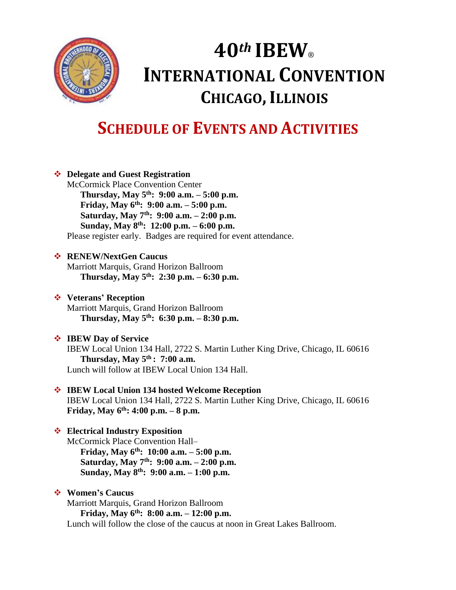

# **40***th* **IBEW**® **INTERNATIONAL CONVENTION CHICAGO, ILLINOIS**

# **SCHEDULE OF EVENTS AND ACTIVITIES**

|  | ❖ Delegate and Guest Registration                                                                                 |  |
|--|-------------------------------------------------------------------------------------------------------------------|--|
|  | <b>McCormick Place Convention Center</b>                                                                          |  |
|  | Thursday, May $5^{th}$ : 9:00 a.m. $-5:00$ p.m.                                                                   |  |
|  | Friday, May $6^{th}$ : 9:00 a.m. - 5:00 p.m.                                                                      |  |
|  | Saturday, May 7 <sup>th</sup> : 9:00 a.m. $- 2:00$ p.m.                                                           |  |
|  | Sunday, May $8^{th}$ : 12:00 p.m. – 6:00 p.m.                                                                     |  |
|  | Please register early. Badges are required for event attendance.                                                  |  |
|  | ❖ RENEW/NextGen Caucus                                                                                            |  |
|  | Marriott Marquis, Grand Horizon Ballroom                                                                          |  |
|  | Thursday, May $5^{th}$ : 2:30 p.m. – 6:30 p.m.                                                                    |  |
|  | ❖ Veterans' Reception                                                                                             |  |
|  | Marriott Marquis, Grand Horizon Ballroom                                                                          |  |
|  | Thursday, May $5^{th}$ : 6:30 p.m. - 8:30 p.m.                                                                    |  |
|  | <b>❖</b> IBEW Day of Service                                                                                      |  |
|  | IBEW Local Union 134 Hall, 2722 S. Martin Luther King Drive, Chicago, IL 60616<br>Thursday, May $5th$ : 7:00 a.m. |  |
|  | Lunch will follow at IBEW Local Union 134 Hall.                                                                   |  |
|  | ❖ IBEW Local Union 134 hosted Welcome Reception                                                                   |  |
|  | IBEW Local Union 134 Hall, 2722 S. Martin Luther King Drive, Chicago, IL 60616                                    |  |
|  | Friday, May $6^{th}$ : 4:00 p.m. - 8 p.m.                                                                         |  |
|  | ❖ Electrical Industry Exposition                                                                                  |  |
|  | McCormick Place Convention Hall-                                                                                  |  |
|  | Friday, May $6^{th}$ : 10:00 a.m. - 5:00 p.m.                                                                     |  |
|  | Saturday, May $7th$ : 9:00 a.m. - 2:00 p.m.                                                                       |  |
|  | Sunday, May 8 <sup>th</sup> : 9:00 a.m. - 1:00 p.m.                                                               |  |
|  | ❖ Women's Caucus                                                                                                  |  |
|  | Marriott Marquis, Grand Horizon Ballroom                                                                          |  |
|  | Friday, May $6^{th}$ : 8:00 a.m. - 12:00 p.m.                                                                     |  |
|  | Lunch will follow the close of the caucus at noon in Great Lakes Ballroom.                                        |  |